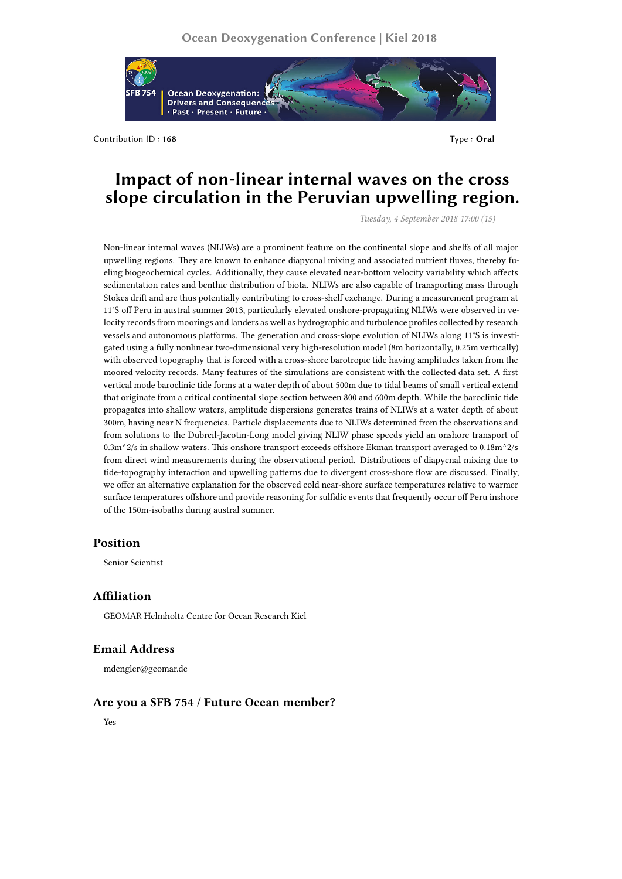

Contribution ID: 168 Type : 0ral

# **Impact of non-linear internal waves on the cross slope circulation in the Peruvian upwelling region.**

*Tuesday, 4 September 2018 17:00 (15)*

Non-linear internal waves (NLIWs) are a prominent feature on the continental slope and shelfs of all major upwelling regions. They are known to enhance diapycnal mixing and associated nutrient fluxes, thereby fueling biogeochemical cycles. Additionally, they cause elevated near-bottom velocity variability which affects sedimentation rates and benthic distribution of biota. NLIWs are also capable of transporting mass through Stokes drift and are thus potentially contributing to cross-shelf exchange. During a measurement program at 11°S off Peru in austral summer 2013, particularly elevated onshore-propagating NLIWs were observed in velocity records from moorings and landers as well as hydrographic and turbulence profiles collected by research vessels and autonomous platforms. The generation and cross-slope evolution of NLIWs along 11°S is investigated using a fully nonlinear two-dimensional very high-resolution model (8m horizontally, 0.25m vertically) with observed topography that is forced with a cross-shore barotropic tide having amplitudes taken from the moored velocity records. Many features of the simulations are consistent with the collected data set. A first vertical mode baroclinic tide forms at a water depth of about 500m due to tidal beams of small vertical extend that originate from a critical continental slope section between 800 and 600m depth. While the baroclinic tide propagates into shallow waters, amplitude dispersions generates trains of NLIWs at a water depth of about 300m, having near N frequencies. Particle displacements due to NLIWs determined from the observations and from solutions to the Dubreil-Jacotin-Long model giving NLIW phase speeds yield an onshore transport of 0.3m^2/s in shallow waters. This onshore transport exceeds offshore Ekman transport averaged to 0.18m^2/s from direct wind measurements during the observational period. Distributions of diapycnal mixing due to tide-topography interaction and upwelling patterns due to divergent cross-shore flow are discussed. Finally, we offer an alternative explanation for the observed cold near-shore surface temperatures relative to warmer surface temperatures offshore and provide reasoning for sulfidic events that frequently occur off Peru inshore of the 150m-isobaths during austral summer.

## **Position**

Senior Scientist

### **Affiliation**

GEOMAR Helmholtz Centre for Ocean Research Kiel

### **Email Address**

mdengler@geomar.de

### **Are you a SFB 754 / Future Ocean member?**

Yes